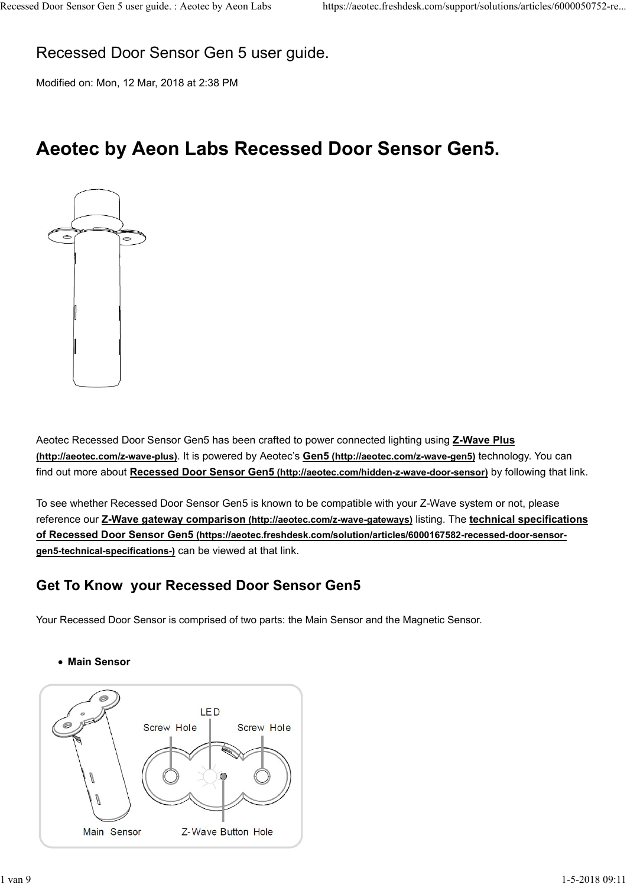# Recessed Door Sensor Gen 5 user guide. Recessed Door Sensor Gen 5 user guide. : Aeotec by Aeon Labs https://aeotec.freshdesk.com/support/solutions/articles/6000050752-re...<br>Recessed Door Sensor Gen 5 user guide.

Modified on: Mon, 12 Mar, 2018 at 2:38 PM

# Aeotec by Aeon Labs Recessed Door Sensor Gen5.



Aeotec Recessed Door Sensor Gen5 has been crafted to power connected lighting using **Z-Wave Plus** (http://aeotec.com/z-wave-plus). It is powered by Aeotec's Gen5 (http://aeotec.com/z-wave-gen5) technology. You can find out more about Recessed Door Sensor Gen5 (http://aeotec.com/hidden-z-wave-door-sensor) by following that link.

To see whether Recessed Door Sensor Gen5 is known to be compatible with your Z-Wave system or not, please reference our Z-Wave gateway comparison (http://aeotec.com/z-wave-gateways) listing. The technical specifications of Recessed Door Sensor Gen5 (https://aeotec.freshdesk.com/solution/articles/6000167582-recessed-door-sensorgen5-technical-specifications-) can be viewed at that link. Nedec Recessed Door Sensor Gen5 has been crafted to power connected lighting using <u>Z-Wave Plus</u><br>
(http://aeote.com/2-wave-plus | Itis powered by Aeote's Gen5 (http://aeote.com/hidden-2-wave-door-sensor) by following that

# Get To Know your Recessed Door Sensor Gen5

Main Sensor

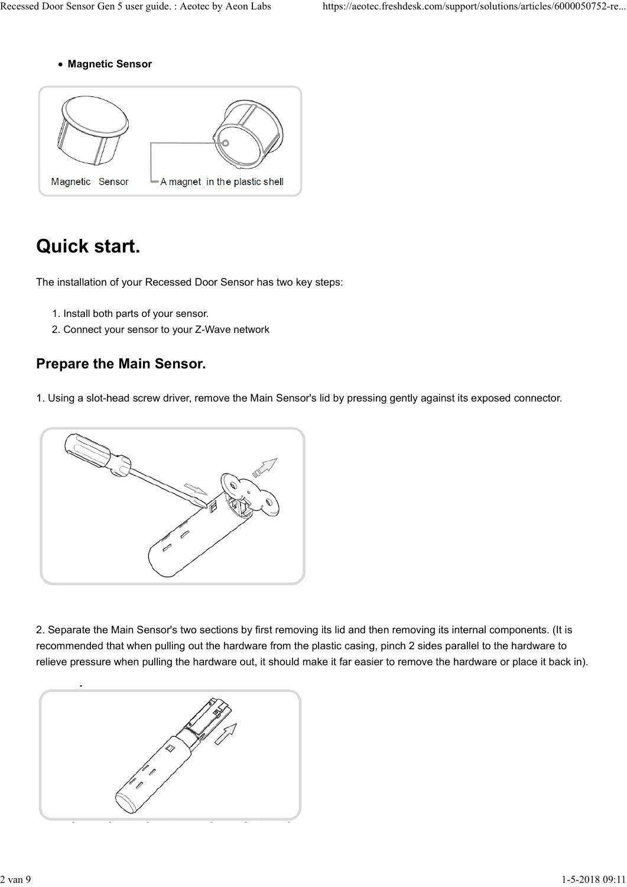Magnetic Sensor



# Quick start.

The installation of your Recessed Door Sensor has two key steps:

- 1. Install both parts of your sensor.
- 2. Connect your sensor to your Z-Wave network

# Prepare the Main Sensor.

1. Using a slot-head screw driver, remove the Main Sensor's lid by pressing gently against its exposed connector.



2. Separate the Main Sensor's two sections by first removing its lid and then removing its internal components. (It is recommended that when pulling out the hardware from the plastic casing, pinch 2 sides parallel to the hardware to relieve pressure when pulling the hardware out, it should make it far easier to remove the hardware or place it back in).

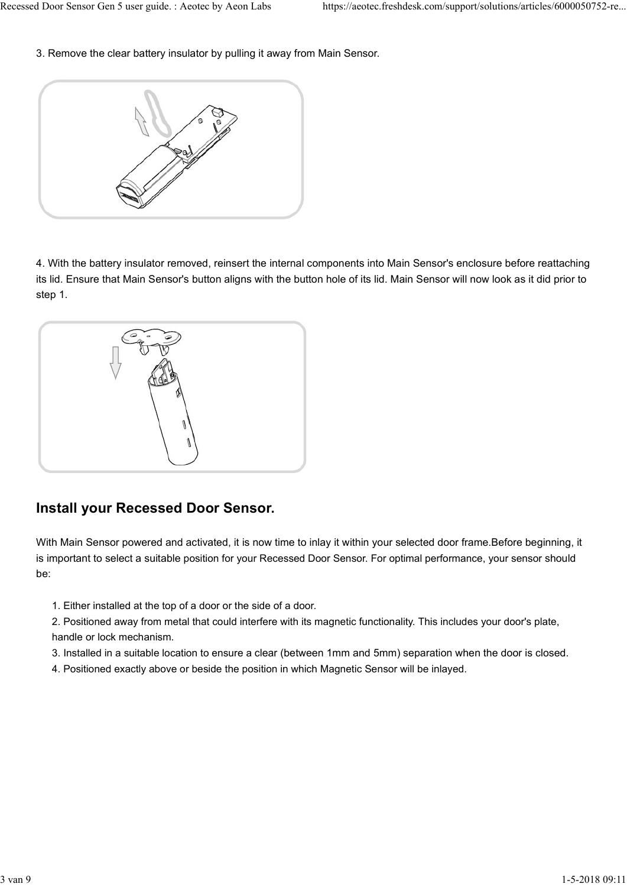3. Remove the clear battery insulator by pulling it away from Main Sensor. Recessed Door Sensor Gen 5 user guide. : Aeotec by Aeon Labs https://aeotec.freshdesk.com/support/solutions/articles/6000050752-re...<br>3. Remove the clear battery insulator by pulling it away from Main Sensor.



4. With the battery insulator removed, reinsert the internal components into Main Sensor's enclosure before reattaching its lid. Ensure that Main Sensor's button aligns with the button hole of its lid. Main Sensor will now look as it did prior to step 1.



# Install your Recessed Door Sensor.

With Main Sensor powered and activated, it is now time to inlay it within your selected door frame.Before beginning, it is important to select a suitable position for your Recessed Door Sensor. For optimal performance, your sensor should be:

- 1. Either installed at the top of a door or the side of a door.
- 2. Positioned away from metal that could interfere with its magnetic functionality. This includes your door's plate, handle or lock mechanism. 2. Positioned at was up to m metal that could interfere with its magnetic functionality. This includes your door's plate,<br>2. Positioned away from metal that could interfere with its magnetic functionality. This includes yo
	- 3. Installed in a suitable location to ensure a clear (between 1mm and 5mm) separation when the door is closed.
	- 4. Positioned exactly above or beside the position in which Magnetic Sensor will be inlayed.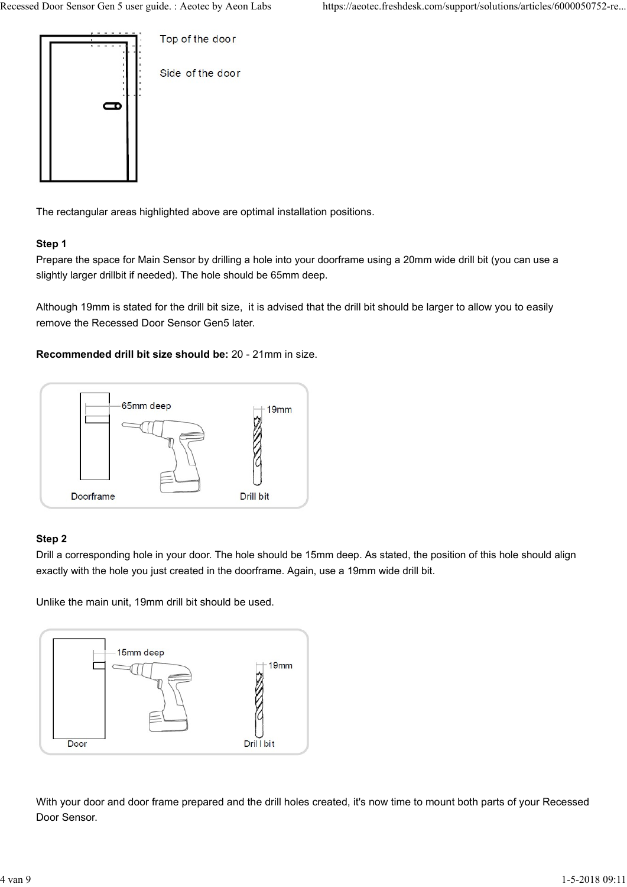

The rectangular areas highlighted above are optimal installation positions.

### Step 1

Prepare the space for Main Sensor by drilling a hole into your doorframe using a 20mm wide drill bit (you can use a slightly larger drillbit if needed). The hole should be 65mm deep.

Although 19mm is stated for the drill bit size, it is advised that the drill bit should be larger to allow you to easily remove the Recessed Door Sensor Gen5 later.

### Recommended drill bit size should be: 20 - 21mm in size.



### Step 2

Drill a corresponding hole in your door. The hole should be 15mm deep. As stated, the position of this hole should align exactly with the hole you just created in the doorframe. Again, use a 19mm wide drill bit.

Unlike the main unit, 19mm drill bit should be used.



With your door and door frame prepared and the drill holes created, it's now time to mount both parts of your Recessed Door Sensor.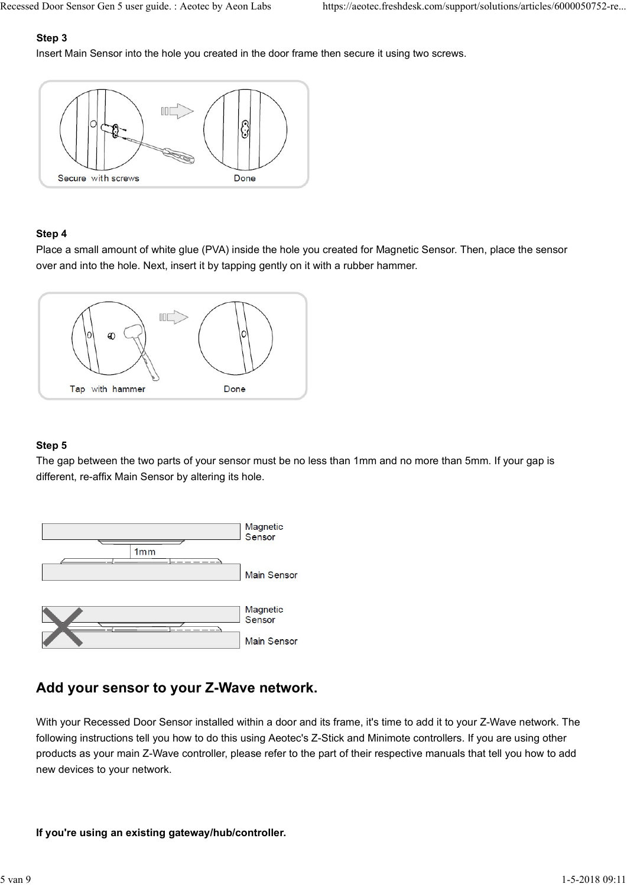# Step 3

Insert Main Sensor into the hole you created in the door frame then secure it using two screws. Recessed Door Sensor Gen 5 user guide. : Aeotec by Aeon Labs https://aeotec.freshdesk.com/support/solutions/articles/6000050752-re...<br> **Step 3**<br>
Insert Main Sensor into the hole you created in the door frame then secure it



### Step 4

Place a small amount of white glue (PVA) inside the hole you created for Magnetic Sensor. Then, place the sensor over and into the hole. Next, insert it by tapping gently on it with a rubber hammer.



## Step 5

The gap between the two parts of your sensor must be no less than 1mm and no more than 5mm. If your gap is different, re-affix Main Sensor by altering its hole.



# Add your sensor to your Z-Wave network.

With your Recessed Door Sensor installed within a door and its frame, it's time to add it to your Z-Wave network. The following instructions tell you how to do this using Aeotec's Z-Stick and Minimote controllers. If you are using other products as your main Z-Wave controller, please refer to the part of their respective manuals that tell you how to add new devices to your network. Sensor<br>
Main Sensor<br>
Main Sensor<br>
Main Sensor<br>
Main Sensor<br>
Main Sensor<br>
Main Sensor<br>
Main Sensor<br>
Main Sensor<br>
With your Sensor is the Universal Disconsity installed within a door and its frame, it's time to add it to you

### If you're using an existing gateway/hub/controller.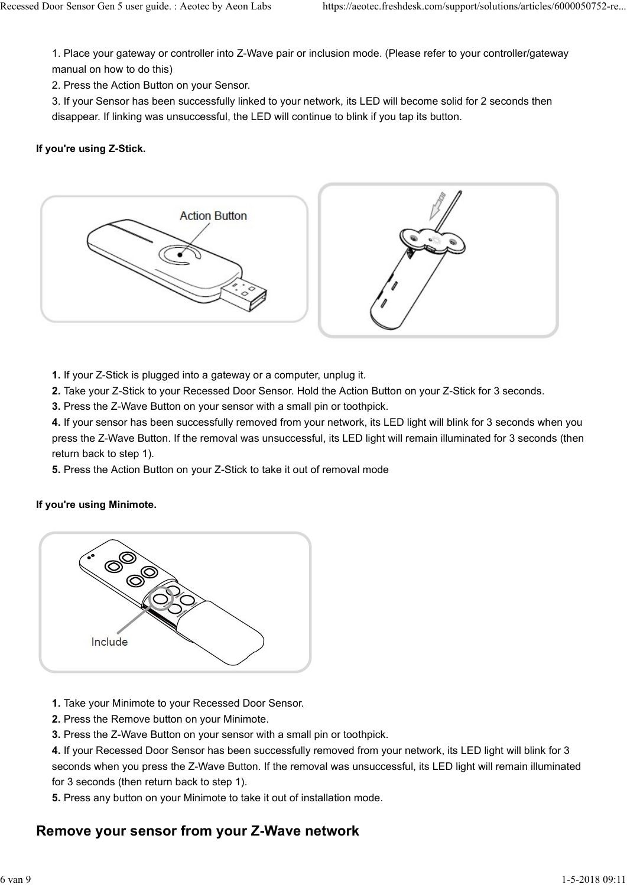1. Place your gateway or controller into Z-Wave pair or inclusion mode. (Please refer to your controller/gateway manual on how to do this) Recessed Door Sensor Gen 5 user guide. : Aeotec by Aeon Labs https://aeotec.freshdesk.com/support/solutions/articles/6000050752-re...<br>1. Place your gateway or controller into Z-Wave pair or inclusion mode. (Please refer to

2. Press the Action Button on your Sensor.

3. If your Sensor has been successfully linked to your network, its LED will become solid for 2 seconds then disappear. If linking was unsuccessful, the LED will continue to blink if you tap its button.

## If you're using Z-Stick.



- 1. If your Z-Stick is plugged into a gateway or a computer, unplug it.
- 2. Take your Z-Stick to your Recessed Door Sensor. Hold the Action Button on your Z-Stick for 3 seconds.
- 3. Press the Z-Wave Button on your sensor with a small pin or toothpick.

4. If your sensor has been successfully removed from your network, its LED light will blink for 3 seconds when you press the Z-Wave Button. If the removal was unsuccessful, its LED light will remain illuminated for 3 seconds (then return back to step 1).

5. Press the Action Button on your Z-Stick to take it out of removal mode

### If you're using Minimote.



- 1. Take your Minimote to your Recessed Door Sensor.
- 2. Press the Remove button on your Minimote.
- 3. Press the Z-Wave Button on your sensor with a small pin or toothpick.

4. If your Recessed Door Sensor has been successfully removed from your network, its LED light will blink for 3 seconds when you press the Z-Wave Button. If the removal was unsuccessful, its LED light will remain illuminated for 3 seconds (then return back to step 1). Include<br>
1. Take your Minimote to your Recessed Door Sensor.<br>
2. Press the Remove button on your Minimote.<br>
3. Press the Z-Wave Button or your sensor with a small pin or toothpick.<br>
4. If your Recessed Door Sensor has been

5. Press any button on your Minimote to take it out of installation mode.

# Remove your sensor from your Z-Wave network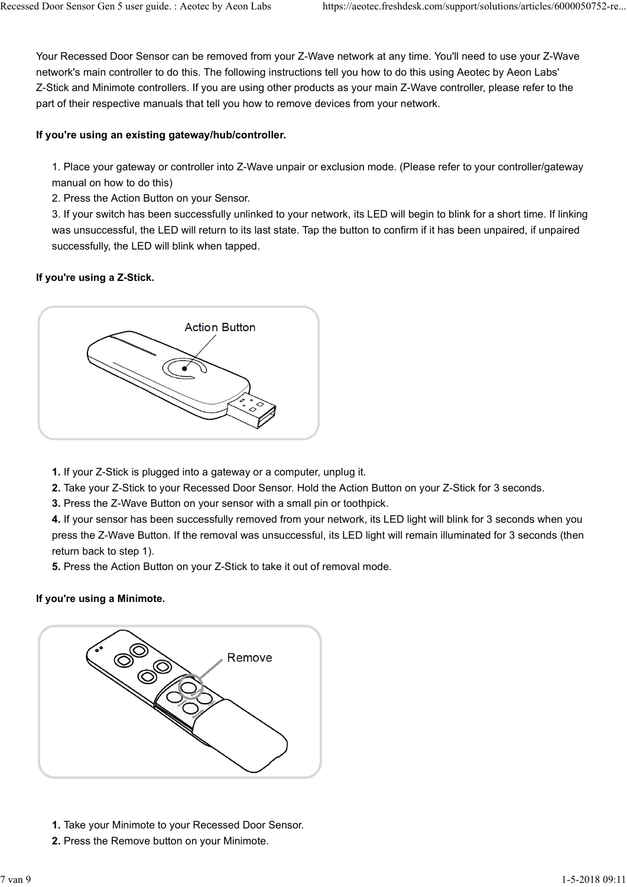Your Recessed Door Sensor can be removed from your Z-Wave network at any time. You'll need to use your Z-Wave network's main controller to do this. The following instructions tell you how to do this using Aeotec by Aeon Labs' Z-Stick and Minimote controllers. If you are using other products as your main Z-Wave controller, please refer to the part of their respective manuals that tell you how to remove devices from your network. Recessed Door Sensor Gen 5 user guide. : Aeotec by Aeon Labs https://aeotec.freshdesk.com/support/solutions/articles/6000050752-re...<br>Your Recessed Door Sensor can be removed from your Z-Wave network at any time. You'll ne

## If you're using an existing gateway/hub/controller.

1. Place your gateway or controller into Z-Wave unpair or exclusion mode. (Please refer to your controller/gateway manual on how to do this)

2. Press the Action Button on your Sensor.

3. If your switch has been successfully unlinked to your network, its LED will begin to blink for a short time. If linking was unsuccessful, the LED will return to its last state. Tap the button to confirm if it has been unpaired, if unpaired successfully, the LED will blink when tapped.

# If you're using a Z-Stick.



- 1. If your Z-Stick is plugged into a gateway or a computer, unplug it.
- 2. Take your Z-Stick to your Recessed Door Sensor. Hold the Action Button on your Z-Stick for 3 seconds.
- 3. Press the Z-Wave Button on your sensor with a small pin or toothpick.

4. If your sensor has been successfully removed from your network, its LED light will blink for 3 seconds when you press the Z-Wave Button. If the removal was unsuccessful, its LED light will remain illuminated for 3 seconds (then return back to step 1).

5. Press the Action Button on your Z-Stick to take it out of removal mode.

# If you're using a Minimote.



- 1. Take your Minimote to your Recessed Door Sensor.
- 2. Press the Remove button on your Minimote.